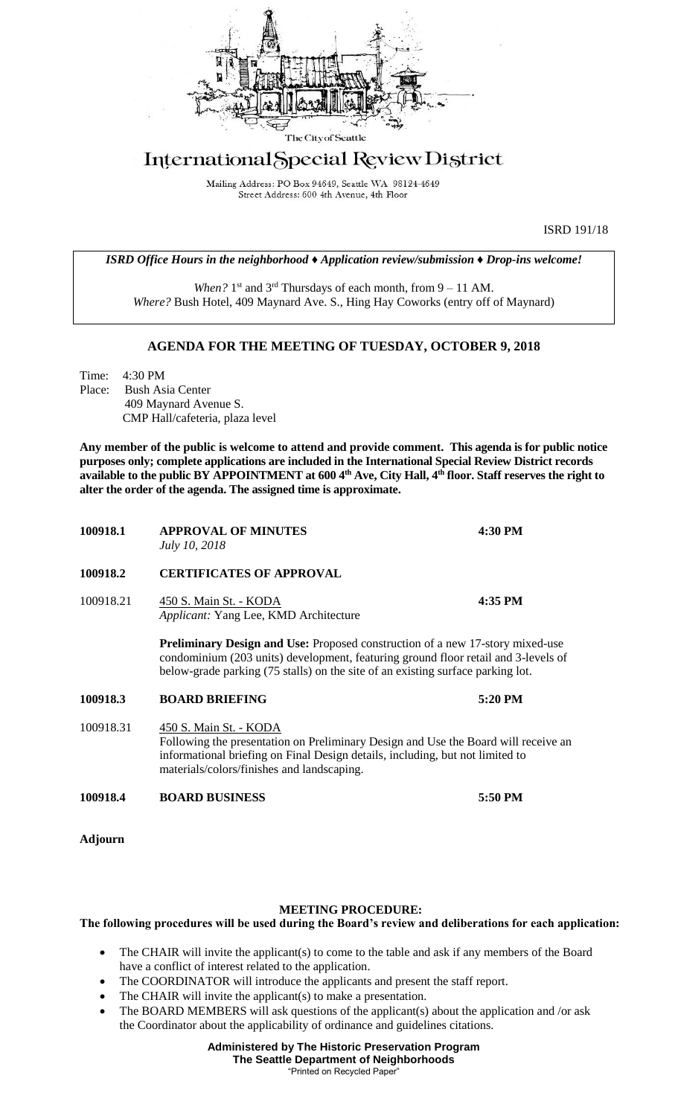

## International Special Review District

Mailing Address: PO Box 94649, Seattle WA 98124-4649 Street Address: 600 4th Avenue, 4th Floor

ISRD 191/18

*ISRD Office Hours in the neighborhood ♦ Application review/submission ♦ Drop-ins welcome!*

When? 1<sup>st</sup> and 3<sup>rd</sup> Thursdays of each month, from 9 – 11 AM. *Where?* Bush Hotel, 409 Maynard Ave. S., Hing Hay Coworks (entry off of Maynard)

## **AGENDA FOR THE MEETING OF TUESDAY, OCTOBER 9, 2018**

Time: 4:30 PM Place: Bush Asia Center 409 Maynard Avenue S. CMP Hall/cafeteria, plaza level

**Any member of the public is welcome to attend and provide comment. This agenda is for public notice purposes only; complete applications are included in the International Special Review District records available to the public BY APPOINTMENT at 600 4th Ave, City Hall, 4th floor. Staff reserves the right to alter the order of the agenda. The assigned time is approximate.** 

| 100918.1       | <b>APPROVAL OF MINUTES</b><br>July 10, 2018                                                                                                                                                                                                                   | 4:30 PM |
|----------------|---------------------------------------------------------------------------------------------------------------------------------------------------------------------------------------------------------------------------------------------------------------|---------|
| 100918.2       | <b>CERTIFICATES OF APPROVAL</b>                                                                                                                                                                                                                               |         |
| 100918.21      | 450 S. Main St. - KODA<br>Applicant: Yang Lee, KMD Architecture                                                                                                                                                                                               | 4:35 PM |
|                | <b>Preliminary Design and Use:</b> Proposed construction of a new 17-story mixed-use<br>condominium (203 units) development, featuring ground floor retail and 3-levels of<br>below-grade parking (75 stalls) on the site of an existing surface parking lot. |         |
| 100918.3       | <b>BOARD BRIEFING</b>                                                                                                                                                                                                                                         | 5:20 PM |
| 100918.31      | 450 S. Main St. - KODA<br>Following the presentation on Preliminary Design and Use the Board will receive an<br>informational briefing on Final Design details, including, but not limited to<br>materials/colors/finishes and landscaping.                   |         |
| 100918.4       | <b>BOARD BUSINESS</b>                                                                                                                                                                                                                                         | 5:50 PM |
| <b>Adjourn</b> |                                                                                                                                                                                                                                                               |         |

## **MEETING PROCEDURE:**

## **The following procedures will be used during the Board's review and deliberations for each application:**

- The CHAIR will invite the applicant(s) to come to the table and ask if any members of the Board have a conflict of interest related to the application.
- The COORDINATOR will introduce the applicants and present the staff report.
- The CHAIR will invite the applicant(s) to make a presentation.
- The BOARD MEMBERS will ask questions of the applicant(s) about the application and /or ask the Coordinator about the applicability of ordinance and guidelines citations.

**Administered by The Historic Preservation Program The Seattle Department of Neighborhoods** "Printed on Recycled Paper"